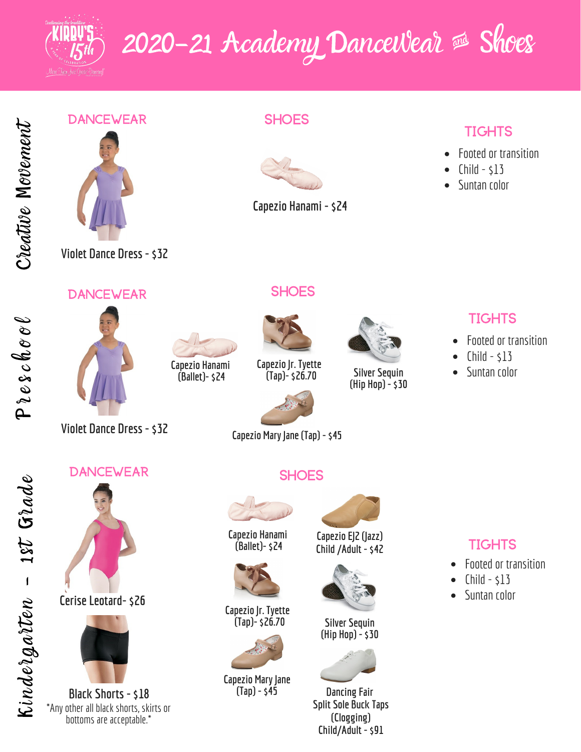

# 2020-21 Academy Dancewear & Shoes

Creativ  $\bm{\varphi}$  $\boldsymbol{\Sigma}$  $\partial\mathcal{E}$ ement

### **DANCEWEAR**



### **SHOES**



**Capezio Hanami -\$24**

# **TIGHTS**

- Footed or transition  $\bullet$
- $Child $13$
- Suntan color  $\bullet$

**Violet Dance Dress -\$32**

#### **DANCEWEAR**





**SHOES** 

**Capezio | r. Tyette (Tap)-\$26.70**



**Silver Sequin (Hip Hop) -\$30**

# **TIGHTS**

- Footed or transition
- $Child $13$
- Suntan color

 $\boldsymbol{\beta}$ o o  $\ell$ 

**DANCEWEAR** 

**Violet Dance Dress -\$32**



**Cerise Leotard-\$26**



**Black Shorts -\$18** \*Any other all black shorts, skirts or bottoms are acceptable.\*

# **SHOES**



**Capezio Hanami (Ballet)-\$24**

> **Capezio Hanami (Ballet)-\$24**



**Capezio** Jr. **Tyette (Tap)-\$26.70**



**Capezio Mary Jane (Tap) -\$45**



**Capezio EJ2 (Jazz) Child /Adult -\$42**



**Silver Sequin (Hip Hop) -\$30**



**Dancing Fair Split Sole Buck Taps (Clogging) Child/Adult -\$91**

# **TIGHTS**

- Footed or transition
- $Child $13$
- Suntan color  $\bullet$